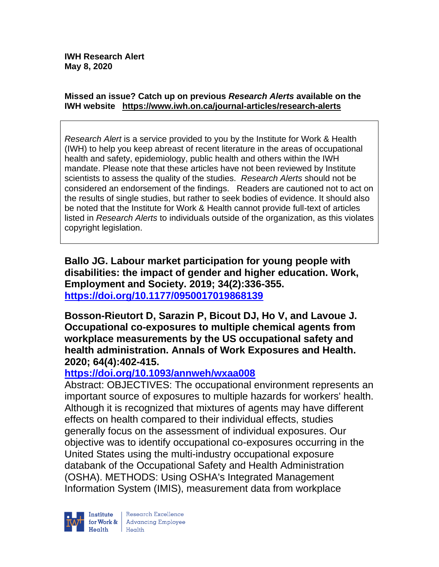#### **Missed an issue? Catch up on previous** *Research Alerts* **available on the [IWH website](http://www.iwh.on.ca/research-alerts) <https://www.iwh.on.ca/journal-articles/research-alerts>**

*Research Alert* is a service provided to you by the Institute for Work & Health (IWH) to help you keep abreast of recent literature in the areas of occupational health and safety, epidemiology, public health and others within the IWH mandate. Please note that these articles have not been reviewed by Institute scientists to assess the quality of the studies. *Research Alerts* should not be considered an endorsement of the findings. Readers are cautioned not to act on the results of single studies, but rather to seek bodies of evidence. It should also be noted that the Institute for Work & Health cannot provide full-text of articles listed in *Research Alerts* to individuals outside of the organization, as this violates copyright legislation.

**Ballo JG. Labour market participation for young people with disabilities: the impact of gender and higher education. Work, Employment and Society. 2019; 34(2):336-355. <https://doi.org/10.1177/0950017019868139>** 

**Bosson-Rieutort D, Sarazin P, Bicout DJ, Ho V, and Lavoue J. Occupational co-exposures to multiple chemical agents from workplace measurements by the US occupational safety and health administration. Annals of Work Exposures and Health. 2020; 64(4):402-415.** 

### **<https://doi.org/10.1093/annweh/wxaa008>**

Abstract: OBJECTIVES: The occupational environment represents an important source of exposures to multiple hazards for workers' health. Although it is recognized that mixtures of agents may have different effects on health compared to their individual effects, studies generally focus on the assessment of individual exposures. Our objective was to identify occupational co-exposures occurring in the United States using the multi-industry occupational exposure databank of the Occupational Safety and Health Administration (OSHA). METHODS: Using OSHA's Integrated Management Information System (IMIS), measurement data from workplace

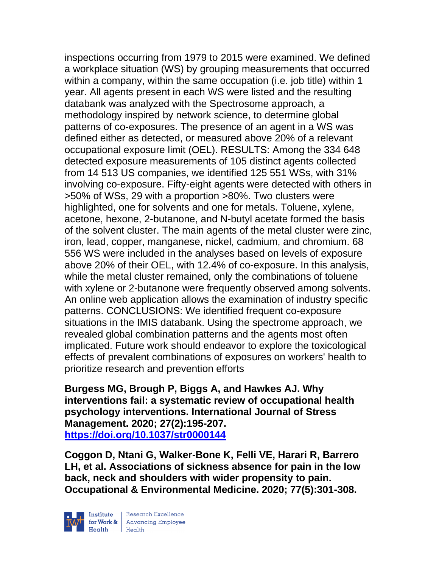inspections occurring from 1979 to 2015 were examined. We defined a workplace situation (WS) by grouping measurements that occurred within a company, within the same occupation (i.e. job title) within 1 year. All agents present in each WS were listed and the resulting databank was analyzed with the Spectrosome approach, a methodology inspired by network science, to determine global patterns of co-exposures. The presence of an agent in a WS was defined either as detected, or measured above 20% of a relevant occupational exposure limit (OEL). RESULTS: Among the 334 648 detected exposure measurements of 105 distinct agents collected from 14 513 US companies, we identified 125 551 WSs, with 31% involving co-exposure. Fifty-eight agents were detected with others in >50% of WSs, 29 with a proportion >80%. Two clusters were highlighted, one for solvents and one for metals. Toluene, xylene, acetone, hexone, 2-butanone, and N-butyl acetate formed the basis of the solvent cluster. The main agents of the metal cluster were zinc, iron, lead, copper, manganese, nickel, cadmium, and chromium. 68 556 WS were included in the analyses based on levels of exposure above 20% of their OEL, with 12.4% of co-exposure. In this analysis, while the metal cluster remained, only the combinations of toluene with xylene or 2-butanone were frequently observed among solvents. An online web application allows the examination of industry specific patterns. CONCLUSIONS: We identified frequent co-exposure situations in the IMIS databank. Using the spectrome approach, we revealed global combination patterns and the agents most often implicated. Future work should endeavor to explore the toxicological effects of prevalent combinations of exposures on workers' health to prioritize research and prevention efforts

**Burgess MG, Brough P, Biggs A, and Hawkes AJ. Why interventions fail: a systematic review of occupational health psychology interventions. International Journal of Stress Management. 2020; 27(2):195-207. <https://doi.org/10.1037/str0000144>** 

**Coggon D, Ntani G, Walker-Bone K, Felli VE, Harari R, Barrero LH, et al. Associations of sickness absence for pain in the low back, neck and shoulders with wider propensity to pain. Occupational & Environmental Medicine. 2020; 77(5):301-308.**

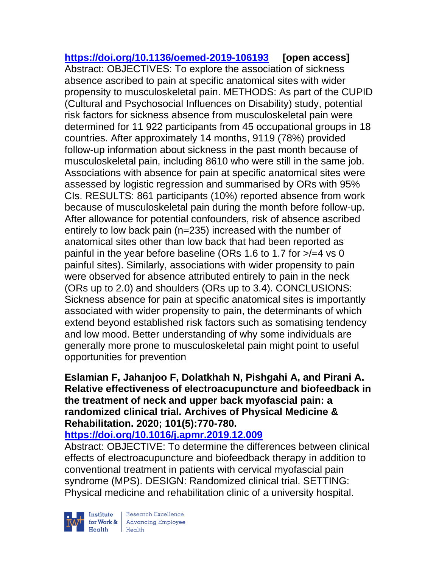**<https://doi.org/10.1136/oemed-2019-106193> [open access]** Abstract: OBJECTIVES: To explore the association of sickness absence ascribed to pain at specific anatomical sites with wider propensity to musculoskeletal pain. METHODS: As part of the CUPID (Cultural and Psychosocial Influences on Disability) study, potential risk factors for sickness absence from musculoskeletal pain were determined for 11 922 participants from 45 occupational groups in 18 countries. After approximately 14 months, 9119 (78%) provided follow-up information about sickness in the past month because of musculoskeletal pain, including 8610 who were still in the same job. Associations with absence for pain at specific anatomical sites were assessed by logistic regression and summarised by ORs with 95% CIs. RESULTS: 861 participants (10%) reported absence from work because of musculoskeletal pain during the month before follow-up. After allowance for potential confounders, risk of absence ascribed entirely to low back pain (n=235) increased with the number of anatomical sites other than low back that had been reported as painful in the year before baseline (ORs 1.6 to 1.7 for >/=4 vs 0 painful sites). Similarly, associations with wider propensity to pain were observed for absence attributed entirely to pain in the neck (ORs up to 2.0) and shoulders (ORs up to 3.4). CONCLUSIONS: Sickness absence for pain at specific anatomical sites is importantly associated with wider propensity to pain, the determinants of which extend beyond established risk factors such as somatising tendency and low mood. Better understanding of why some individuals are generally more prone to musculoskeletal pain might point to useful opportunities for prevention

## **Eslamian F, Jahanjoo F, Dolatkhah N, Pishgahi A, and Pirani A. Relative effectiveness of electroacupuncture and biofeedback in the treatment of neck and upper back myofascial pain: a randomized clinical trial. Archives of Physical Medicine & Rehabilitation. 2020; 101(5):770-780.**

### **<https://doi.org/10.1016/j.apmr.2019.12.009>**

Abstract: OBJECTIVE: To determine the differences between clinical effects of electroacupuncture and biofeedback therapy in addition to conventional treatment in patients with cervical myofascial pain syndrome (MPS). DESIGN: Randomized clinical trial. SETTING: Physical medicine and rehabilitation clinic of a university hospital.



Research Excellence for Work & Advancing Employee<br>Health Health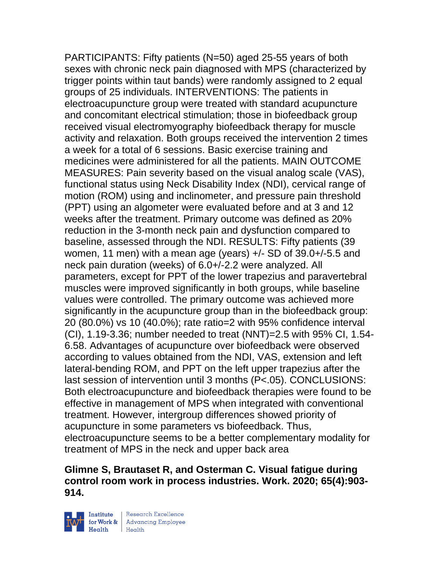PARTICIPANTS: Fifty patients (N=50) aged 25-55 years of both sexes with chronic neck pain diagnosed with MPS (characterized by trigger points within taut bands) were randomly assigned to 2 equal groups of 25 individuals. INTERVENTIONS: The patients in electroacupuncture group were treated with standard acupuncture and concomitant electrical stimulation; those in biofeedback group received visual electromyography biofeedback therapy for muscle activity and relaxation. Both groups received the intervention 2 times a week for a total of 6 sessions. Basic exercise training and medicines were administered for all the patients. MAIN OUTCOME MEASURES: Pain severity based on the visual analog scale (VAS), functional status using Neck Disability Index (NDI), cervical range of motion (ROM) using and inclinometer, and pressure pain threshold (PPT) using an algometer were evaluated before and at 3 and 12 weeks after the treatment. Primary outcome was defined as 20% reduction in the 3-month neck pain and dysfunction compared to baseline, assessed through the NDI. RESULTS: Fifty patients (39 women, 11 men) with a mean age (years) +/- SD of 39.0+/-5.5 and neck pain duration (weeks) of 6.0+/-2.2 were analyzed. All parameters, except for PPT of the lower trapezius and paravertebral muscles were improved significantly in both groups, while baseline values were controlled. The primary outcome was achieved more significantly in the acupuncture group than in the biofeedback group: 20 (80.0%) vs 10 (40.0%); rate ratio=2 with 95% confidence interval (CI), 1.19-3.36; number needed to treat (NNT)=2.5 with 95% CI, 1.54- 6.58. Advantages of acupuncture over biofeedback were observed according to values obtained from the NDI, VAS, extension and left lateral-bending ROM, and PPT on the left upper trapezius after the last session of intervention until 3 months (P<.05). CONCLUSIONS: Both electroacupuncture and biofeedback therapies were found to be effective in management of MPS when integrated with conventional treatment. However, intergroup differences showed priority of acupuncture in some parameters vs biofeedback. Thus, electroacupuncture seems to be a better complementary modality for treatment of MPS in the neck and upper back area

## **Glimne S, Brautaset R, and Osterman C. Visual fatigue during control room work in process industries. Work. 2020; 65(4):903- 914.**

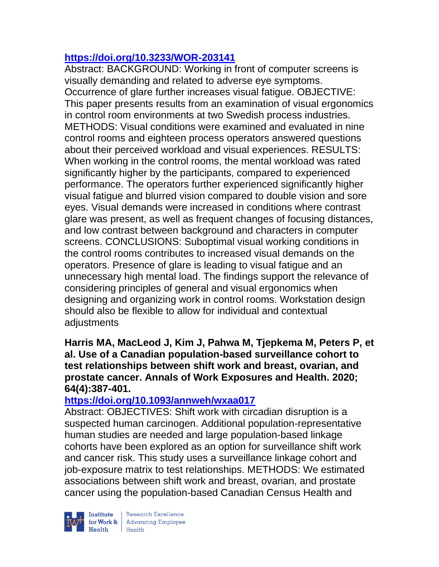## **<https://doi.org/10.3233/WOR-203141>**

Abstract: BACKGROUND: Working in front of computer screens is visually demanding and related to adverse eye symptoms. Occurrence of glare further increases visual fatigue. OBJECTIVE: This paper presents results from an examination of visual ergonomics in control room environments at two Swedish process industries. METHODS: Visual conditions were examined and evaluated in nine control rooms and eighteen process operators answered questions about their perceived workload and visual experiences. RESULTS: When working in the control rooms, the mental workload was rated significantly higher by the participants, compared to experienced performance. The operators further experienced significantly higher visual fatigue and blurred vision compared to double vision and sore eyes. Visual demands were increased in conditions where contrast glare was present, as well as frequent changes of focusing distances, and low contrast between background and characters in computer screens. CONCLUSIONS: Suboptimal visual working conditions in the control rooms contributes to increased visual demands on the operators. Presence of glare is leading to visual fatigue and an unnecessary high mental load. The findings support the relevance of considering principles of general and visual ergonomics when designing and organizing work in control rooms. Workstation design should also be flexible to allow for individual and contextual adjustments

**Harris MA, MacLeod J, Kim J, Pahwa M, Tjepkema M, Peters P, et al. Use of a Canadian population-based surveillance cohort to test relationships between shift work and breast, ovarian, and prostate cancer. Annals of Work Exposures and Health. 2020; 64(4):387-401.** 

# **<https://doi.org/10.1093/annweh/wxaa017>**

Abstract: OBJECTIVES: Shift work with circadian disruption is a suspected human carcinogen. Additional population-representative human studies are needed and large population-based linkage cohorts have been explored as an option for surveillance shift work and cancer risk. This study uses a surveillance linkage cohort and job-exposure matrix to test relationships. METHODS: We estimated associations between shift work and breast, ovarian, and prostate cancer using the population-based Canadian Census Health and



| Research Excellence Financial Research Excellence<br>
Financial Realth<br>
Realth<br>
Realth<br>
Realth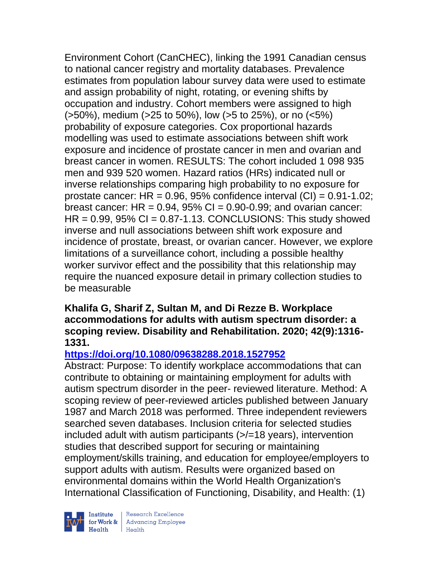Environment Cohort (CanCHEC), linking the 1991 Canadian census to national cancer registry and mortality databases. Prevalence estimates from population labour survey data were used to estimate and assign probability of night, rotating, or evening shifts by occupation and industry. Cohort members were assigned to high (>50%), medium (>25 to 50%), low (>5 to 25%), or no (<5%) probability of exposure categories. Cox proportional hazards modelling was used to estimate associations between shift work exposure and incidence of prostate cancer in men and ovarian and breast cancer in women. RESULTS: The cohort included 1 098 935 men and 939 520 women. Hazard ratios (HRs) indicated null or inverse relationships comparing high probability to no exposure for prostate cancer:  $HR = 0.96$ , 95% confidence interval  $(Cl) = 0.91 - 1.02$ ; breast cancer:  $HR = 0.94$ ,  $95\%$  CI = 0.90-0.99; and ovarian cancer:  $HR = 0.99$ ,  $95\%$  CI = 0.87-1.13. CONCLUSIONS: This study showed inverse and null associations between shift work exposure and incidence of prostate, breast, or ovarian cancer. However, we explore limitations of a surveillance cohort, including a possible healthy worker survivor effect and the possibility that this relationship may require the nuanced exposure detail in primary collection studies to be measurable

#### **Khalifa G, Sharif Z, Sultan M, and Di Rezze B. Workplace accommodations for adults with autism spectrum disorder: a scoping review. Disability and Rehabilitation. 2020; 42(9):1316- 1331.**

## **<https://doi.org/10.1080/09638288.2018.1527952>**

Abstract: Purpose: To identify workplace accommodations that can contribute to obtaining or maintaining employment for adults with autism spectrum disorder in the peer- reviewed literature. Method: A scoping review of peer-reviewed articles published between January 1987 and March 2018 was performed. Three independent reviewers searched seven databases. Inclusion criteria for selected studies included adult with autism participants (>/=18 years), intervention studies that described support for securing or maintaining employment/skills training, and education for employee/employers to support adults with autism. Results were organized based on environmental domains within the World Health Organization's International Classification of Functioning, Disability, and Health: (1)



 $\begin{tabular}{|l|} Institute & Research Excellence \\ \hline for Work & Advancing Employee \\ Health & Health \\ \end{tabular}$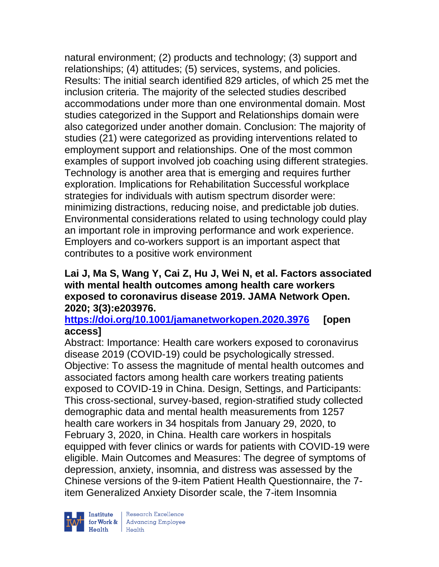natural environment; (2) products and technology; (3) support and relationships; (4) attitudes; (5) services, systems, and policies. Results: The initial search identified 829 articles, of which 25 met the inclusion criteria. The majority of the selected studies described accommodations under more than one environmental domain. Most studies categorized in the Support and Relationships domain were also categorized under another domain. Conclusion: The majority of studies (21) were categorized as providing interventions related to employment support and relationships. One of the most common examples of support involved job coaching using different strategies. Technology is another area that is emerging and requires further exploration. Implications for Rehabilitation Successful workplace strategies for individuals with autism spectrum disorder were: minimizing distractions, reducing noise, and predictable job duties. Environmental considerations related to using technology could play an important role in improving performance and work experience. Employers and co-workers support is an important aspect that contributes to a positive work environment

#### **Lai J, Ma S, Wang Y, Cai Z, Hu J, Wei N, et al. Factors associated with mental health outcomes among health care workers exposed to coronavirus disease 2019. JAMA Network Open. 2020; 3(3):e203976.**

## **<https://doi.org/10.1001/jamanetworkopen.2020.3976> [open access]**

Abstract: Importance: Health care workers exposed to coronavirus disease 2019 (COVID-19) could be psychologically stressed. Objective: To assess the magnitude of mental health outcomes and associated factors among health care workers treating patients exposed to COVID-19 in China. Design, Settings, and Participants: This cross-sectional, survey-based, region-stratified study collected demographic data and mental health measurements from 1257 health care workers in 34 hospitals from January 29, 2020, to February 3, 2020, in China. Health care workers in hospitals equipped with fever clinics or wards for patients with COVID-19 were eligible. Main Outcomes and Measures: The degree of symptoms of depression, anxiety, insomnia, and distress was assessed by the Chinese versions of the 9-item Patient Health Questionnaire, the 7 item Generalized Anxiety Disorder scale, the 7-item Insomnia



 $\begin{tabular}{|l|} Institute & Research Excellence \\ \hline for Work & Advancing Employee \\ Health & Health \\ \end{tabular}$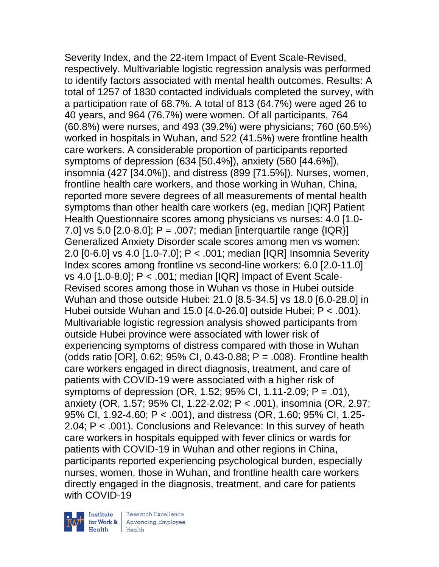Severity Index, and the 22-item Impact of Event Scale-Revised, respectively. Multivariable logistic regression analysis was performed to identify factors associated with mental health outcomes. Results: A total of 1257 of 1830 contacted individuals completed the survey, with a participation rate of 68.7%. A total of 813 (64.7%) were aged 26 to 40 years, and 964 (76.7%) were women. Of all participants, 764 (60.8%) were nurses, and 493 (39.2%) were physicians; 760 (60.5%) worked in hospitals in Wuhan, and 522 (41.5%) were frontline health care workers. A considerable proportion of participants reported symptoms of depression (634 [50.4%]), anxiety (560 [44.6%]), insomnia (427 [34.0%]), and distress (899 [71.5%]). Nurses, women, frontline health care workers, and those working in Wuhan, China, reported more severe degrees of all measurements of mental health symptoms than other health care workers (eg, median [IQR] Patient Health Questionnaire scores among physicians vs nurses: 4.0 [1.0- 7.0] vs 5.0 [2.0-8.0];  $P = .007$ ; median [interquartile range {IQR}] Generalized Anxiety Disorder scale scores among men vs women: 2.0 [0-6.0] vs 4.0 [1.0-7.0]; P < .001; median [IQR] Insomnia Severity Index scores among frontline vs second-line workers: 6.0 [2.0-11.0] vs 4.0 [1.0-8.0]; P < .001; median [IQR] Impact of Event Scale-Revised scores among those in Wuhan vs those in Hubei outside Wuhan and those outside Hubei: 21.0 [8.5-34.5] vs 18.0 [6.0-28.0] in Hubei outside Wuhan and 15.0 [4.0-26.0] outside Hubei; P < .001). Multivariable logistic regression analysis showed participants from outside Hubei province were associated with lower risk of experiencing symptoms of distress compared with those in Wuhan (odds ratio [OR], 0.62; 95% CI, 0.43-0.88; P = .008). Frontline health care workers engaged in direct diagnosis, treatment, and care of patients with COVID-19 were associated with a higher risk of symptoms of depression (OR, 1.52; 95% CI, 1.11-2.09; P = .01), anxiety (OR, 1.57; 95% CI, 1.22-2.02; P < .001), insomnia (OR, 2.97; 95% CI, 1.92-4.60; P < .001), and distress (OR, 1.60; 95% CI, 1.25- 2.04; P < .001). Conclusions and Relevance: In this survey of heath care workers in hospitals equipped with fever clinics or wards for patients with COVID-19 in Wuhan and other regions in China, participants reported experiencing psychological burden, especially nurses, women, those in Wuhan, and frontline health care workers directly engaged in the diagnosis, treatment, and care for patients with COVID-19



Institute Research Excellence<br>for Work & Advancing Employee  $H$ ealth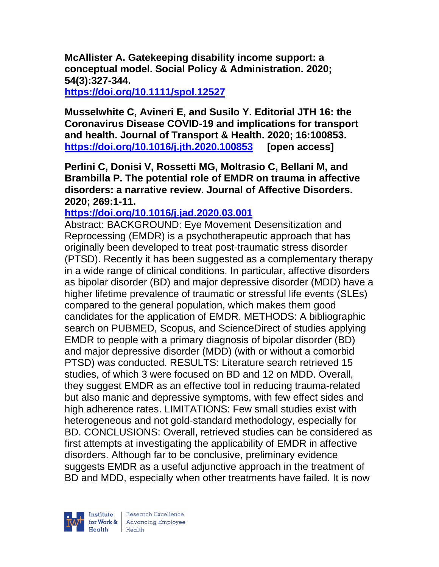**McAllister A. Gatekeeping disability income support: a conceptual model. Social Policy & Administration. 2020; 54(3):327-344.** 

**<https://doi.org/10.1111/spol.12527>** 

**Musselwhite C, Avineri E, and Susilo Y. Editorial JTH 16: the Coronavirus Disease COVID-19 and implications for transport and health. Journal of Transport & Health. 2020; 16:100853. <https://doi.org/10.1016/j.jth.2020.100853> [open access]**

**Perlini C, Donisi V, Rossetti MG, Moltrasio C, Bellani M, and Brambilla P. The potential role of EMDR on trauma in affective disorders: a narrative review. Journal of Affective Disorders. 2020; 269:1-11.** 

**<https://doi.org/10.1016/j.jad.2020.03.001>** 

Abstract: BACKGROUND: Eye Movement Desensitization and Reprocessing (EMDR) is a psychotherapeutic approach that has originally been developed to treat post-traumatic stress disorder (PTSD). Recently it has been suggested as a complementary therapy in a wide range of clinical conditions. In particular, affective disorders as bipolar disorder (BD) and major depressive disorder (MDD) have a higher lifetime prevalence of traumatic or stressful life events (SLEs) compared to the general population, which makes them good candidates for the application of EMDR. METHODS: A bibliographic search on PUBMED, Scopus, and ScienceDirect of studies applying EMDR to people with a primary diagnosis of bipolar disorder (BD) and major depressive disorder (MDD) (with or without a comorbid PTSD) was conducted. RESULTS: Literature search retrieved 15 studies, of which 3 were focused on BD and 12 on MDD. Overall, they suggest EMDR as an effective tool in reducing trauma-related but also manic and depressive symptoms, with few effect sides and high adherence rates. LIMITATIONS: Few small studies exist with heterogeneous and not gold-standard methodology, especially for BD. CONCLUSIONS: Overall, retrieved studies can be considered as first attempts at investigating the applicability of EMDR in affective disorders. Although far to be conclusive, preliminary evidence suggests EMDR as a useful adjunctive approach in the treatment of BD and MDD, especially when other treatments have failed. It is now

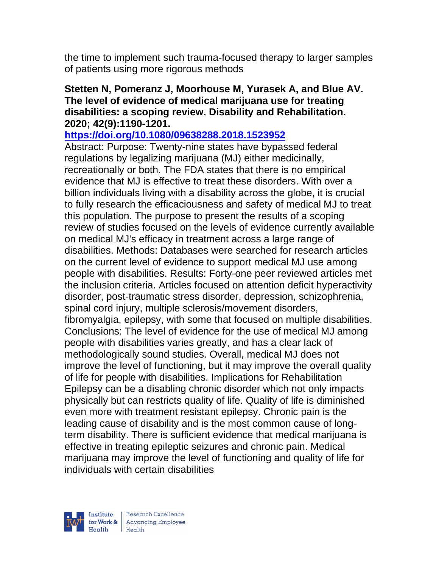the time to implement such trauma-focused therapy to larger samples of patients using more rigorous methods

#### **Stetten N, Pomeranz J, Moorhouse M, Yurasek A, and Blue AV. The level of evidence of medical marijuana use for treating disabilities: a scoping review. Disability and Rehabilitation. 2020; 42(9):1190-1201.**

#### **<https://doi.org/10.1080/09638288.2018.1523952>**

Abstract: Purpose: Twenty-nine states have bypassed federal regulations by legalizing marijuana (MJ) either medicinally, recreationally or both. The FDA states that there is no empirical evidence that MJ is effective to treat these disorders. With over a billion individuals living with a disability across the globe, it is crucial to fully research the efficaciousness and safety of medical MJ to treat this population. The purpose to present the results of a scoping review of studies focused on the levels of evidence currently available on medical MJ's efficacy in treatment across a large range of disabilities. Methods: Databases were searched for research articles on the current level of evidence to support medical MJ use among people with disabilities. Results: Forty-one peer reviewed articles met the inclusion criteria. Articles focused on attention deficit hyperactivity disorder, post-traumatic stress disorder, depression, schizophrenia, spinal cord injury, multiple sclerosis/movement disorders, fibromyalgia, epilepsy, with some that focused on multiple disabilities. Conclusions: The level of evidence for the use of medical MJ among people with disabilities varies greatly, and has a clear lack of methodologically sound studies. Overall, medical MJ does not improve the level of functioning, but it may improve the overall quality of life for people with disabilities. Implications for Rehabilitation Epilepsy can be a disabling chronic disorder which not only impacts physically but can restricts quality of life. Quality of life is diminished even more with treatment resistant epilepsy. Chronic pain is the leading cause of disability and is the most common cause of longterm disability. There is sufficient evidence that medical marijuana is effective in treating epileptic seizures and chronic pain. Medical marijuana may improve the level of functioning and quality of life for individuals with certain disabilities



| Research Excellence for Work & Advancing Employee<br>Health Health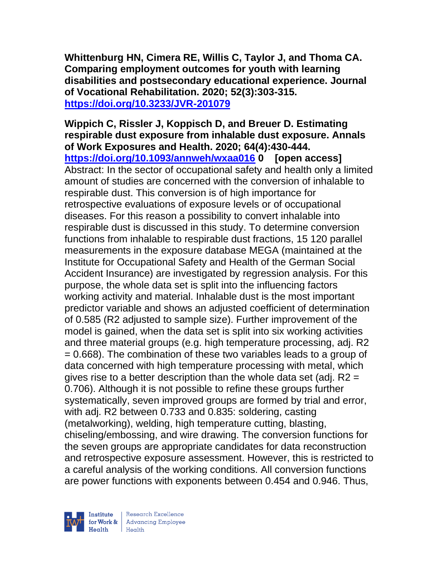**Whittenburg HN, Cimera RE, Willis C, Taylor J, and Thoma CA. Comparing employment outcomes for youth with learning disabilities and postsecondary educational experience. Journal of Vocational Rehabilitation. 2020; 52(3):303-315. <https://doi.org/10.3233/JVR-201079>** 

**Wippich C, Rissler J, Koppisch D, and Breuer D. Estimating respirable dust exposure from inhalable dust exposure. Annals of Work Exposures and Health. 2020; 64(4):430-444. <https://doi.org/10.1093/annweh/wxaa016> 0 [open access]** Abstract: In the sector of occupational safety and health only a limited amount of studies are concerned with the conversion of inhalable to respirable dust. This conversion is of high importance for retrospective evaluations of exposure levels or of occupational diseases. For this reason a possibility to convert inhalable into respirable dust is discussed in this study. To determine conversion functions from inhalable to respirable dust fractions, 15 120 parallel measurements in the exposure database MEGA (maintained at the Institute for Occupational Safety and Health of the German Social Accident Insurance) are investigated by regression analysis. For this purpose, the whole data set is split into the influencing factors working activity and material. Inhalable dust is the most important predictor variable and shows an adjusted coefficient of determination of 0.585 (R2 adjusted to sample size). Further improvement of the model is gained, when the data set is split into six working activities and three material groups (e.g. high temperature processing, adj. R2 = 0.668). The combination of these two variables leads to a group of data concerned with high temperature processing with metal, which gives rise to a better description than the whole data set (adj. R2 = 0.706). Although it is not possible to refine these groups further systematically, seven improved groups are formed by trial and error, with adj. R2 between 0.733 and 0.835: soldering, casting (metalworking), welding, high temperature cutting, blasting, chiseling/embossing, and wire drawing. The conversion functions for the seven groups are appropriate candidates for data reconstruction and retrospective exposure assessment. However, this is restricted to a careful analysis of the working conditions. All conversion functions are power functions with exponents between 0.454 and 0.946. Thus,